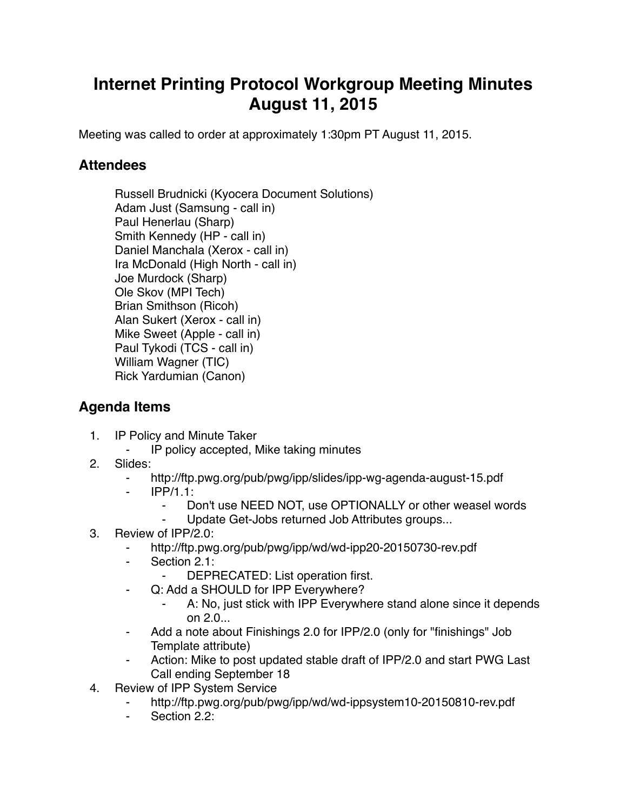## **Internet Printing Protocol Workgroup Meeting Minutes August 11, 2015**

Meeting was called to order at approximately 1:30pm PT August 11, 2015.

## **Attendees**

Russell Brudnicki (Kyocera Document Solutions) Adam Just (Samsung - call in) Paul Henerlau (Sharp) Smith Kennedy (HP - call in) Daniel Manchala (Xerox - call in) Ira McDonald (High North - call in) Joe Murdock (Sharp) Ole Skov (MPI Tech) Brian Smithson (Ricoh) Alan Sukert (Xerox - call in) Mike Sweet (Apple - call in) Paul Tykodi (TCS - call in) William Wagner (TIC) Rick Yardumian (Canon)

## **Agenda Items**

- 1. IP Policy and Minute Taker
	- ⁃ IP policy accepted, Mike taking minutes
- 2. Slides:
	- ⁃ http://ftp.pwg.org/pub/pwg/ipp/slides/ipp-wg-agenda-august-15.pdf
	- ⁃ IPP/1.1:
		- ⁃ Don't use NEED NOT, use OPTIONALLY or other weasel words
		- Update Get-Jobs returned Job Attributes groups...
- 3. Review of IPP/2.0:
	- ⁃ http://ftp.pwg.org/pub/pwg/ipp/wd/wd-ipp20-20150730-rev.pdf
	- Section 2.1:
		- ⁃ DEPRECATED: List operation first.
	- ⁃ Q: Add a SHOULD for IPP Everywhere?
		- A: No, just stick with IPP Everywhere stand alone since it depends on 2.0...
	- Add a note about Finishings 2.0 for IPP/2.0 (only for "finishings" Job Template attribute)
	- Action: Mike to post updated stable draft of IPP/2.0 and start PWG Last Call ending September 18
- 4. Review of IPP System Service
	- http://ftp.pwg.org/pub/pwg/ipp/wd/wd-ippsystem10-20150810-rev.pdf
	- ⁃ Section 2.2: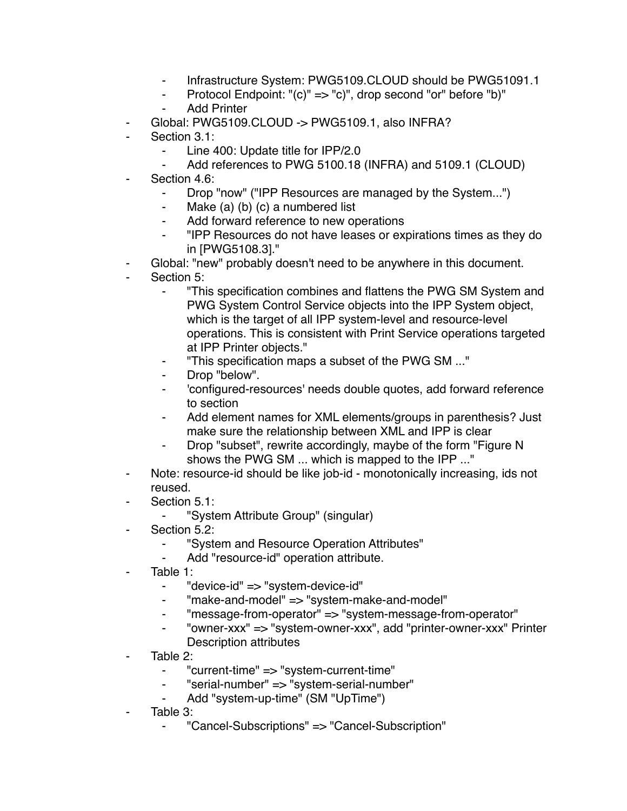- ⁃ Infrastructure System: PWG5109.CLOUD should be PWG51091.1
- ⁃ Protocol Endpoint: "(c)" => "c)", drop second "or" before "b)"
- **Add Printer**
- Global: PWG5109.CLOUD -> PWG5109.1, also INFRA?
- Section 3.1:
	- Line 400: Update title for IPP/2.0
	- Add references to PWG 5100.18 (INFRA) and 5109.1 (CLOUD)
- Section 4.6:
	- Drop "now" ("IPP Resources are managed by the System...")
	- ⁃ Make (a) (b) (c) a numbered list
	- Add forward reference to new operations
	- ⁃ "IPP Resources do not have leases or expirations times as they do in [PWG5108.3]."
- Global: "new" probably doesn't need to be anywhere in this document.
- Section 5:
	- ⁃ "This specification combines and flattens the PWG SM System and PWG System Control Service objects into the IPP System object, which is the target of all IPP system-level and resource-level operations. This is consistent with Print Service operations targeted at IPP Printer objects."
	- ⁃ "This specification maps a subset of the PWG SM ..."
	- ⁃ Drop "below".
	- ⁃ 'configured-resources' needs double quotes, add forward reference to section
	- Add element names for XML elements/groups in parenthesis? Just make sure the relationship between XML and IPP is clear
	- ⁃ Drop "subset", rewrite accordingly, maybe of the form "Figure N shows the PWG SM ... which is mapped to the IPP ..."
- ⁃ Note: resource-id should be like job-id monotonically increasing, ids not reused.
- Section 5.1:
	- ⁃ "System Attribute Group" (singular)
- Section 5.2:
	- ⁃ "System and Resource Operation Attributes"
	- Add "resource-id" operation attribute.
- Table 1:
	- ⁃ "device-id" => "system-device-id"
	- ⁃ "make-and-model" => "system-make-and-model"
	- ⁃ "message-from-operator" => "system-message-from-operator"
	- ⁃ "owner-xxx" => "system-owner-xxx", add "printer-owner-xxx" Printer Description attributes
- Table 2:
	- ⁃ "current-time" => "system-current-time"
	- ⁃ "serial-number" => "system-serial-number"
	- Add "system-up-time" (SM "UpTime")
- Table 3:
	- ⁃ "Cancel-Subscriptions" => "Cancel-Subscription"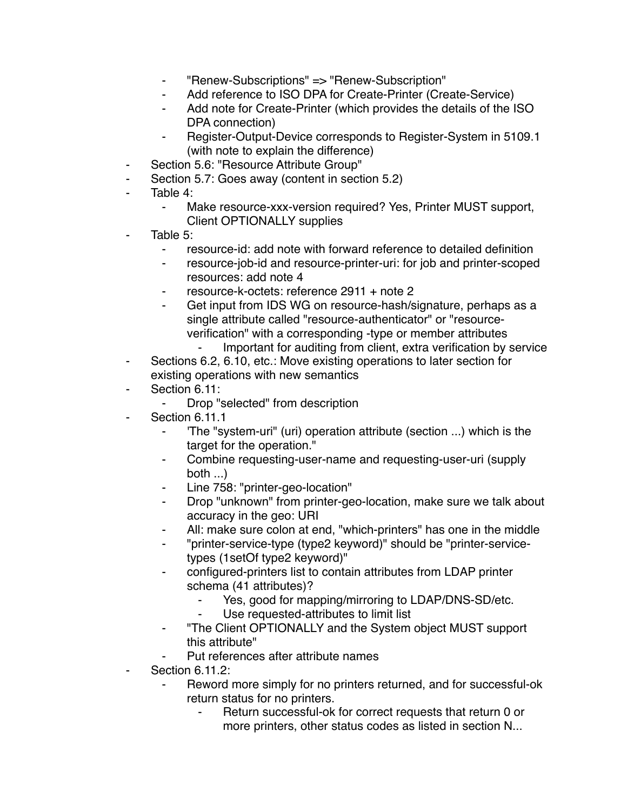- ⁃ "Renew-Subscriptions" => "Renew-Subscription"
- ⁃ Add reference to ISO DPA for Create-Printer (Create-Service)
- Add note for Create-Printer (which provides the details of the ISO DPA connection)
- ⁃ Register-Output-Device corresponds to Register-System in 5109.1 (with note to explain the difference)
- Section 5.6: "Resource Attribute Group"
- Section 5.7: Goes away (content in section 5.2)
- Table 4:
	- ⁃ Make resource-xxx-version required? Yes, Printer MUST support, Client OPTIONALLY supplies
- Table  $5^{\circ}$ 
	- resource-id: add note with forward reference to detailed definition
	- ⁃ resource-job-id and resource-printer-uri: for job and printer-scoped resources: add note 4
	- resource-k-octets: reference 2911 + note 2
	- ⁃ Get input from IDS WG on resource-hash/signature, perhaps as a single attribute called "resource-authenticator" or "resourceverification" with a corresponding -type or member attributes
		- Important for auditing from client, extra verification by service
- Sections 6.2, 6.10, etc.: Move existing operations to later section for existing operations with new semantics
- Section 6.11:
	- Drop "selected" from description
- Section 6.11.1
	- 'The "system-uri" (uri) operation attribute (section ...) which is the target for the operation."
	- Combine requesting-user-name and requesting-user-uri (supply both ...)
	- Line 758: "printer-geo-location"
	- ⁃ Drop "unknown" from printer-geo-location, make sure we talk about accuracy in the geo: URI
	- All: make sure colon at end, "which-printers" has one in the middle
	- ⁃ "printer-service-type (type2 keyword)" should be "printer-servicetypes (1setOf type2 keyword)"
	- configured-printers list to contain attributes from LDAP printer schema (41 attributes)?
		- Yes, good for mapping/mirroring to LDAP/DNS-SD/etc.
		- Use requested-attributes to limit list
	- ⁃ "The Client OPTIONALLY and the System object MUST support this attribute"
		- Put references after attribute names
- **Section 6.11.2:** 
	- Reword more simply for no printers returned, and for successful-ok return status for no printers.
		- Return successful-ok for correct requests that return 0 or more printers, other status codes as listed in section N...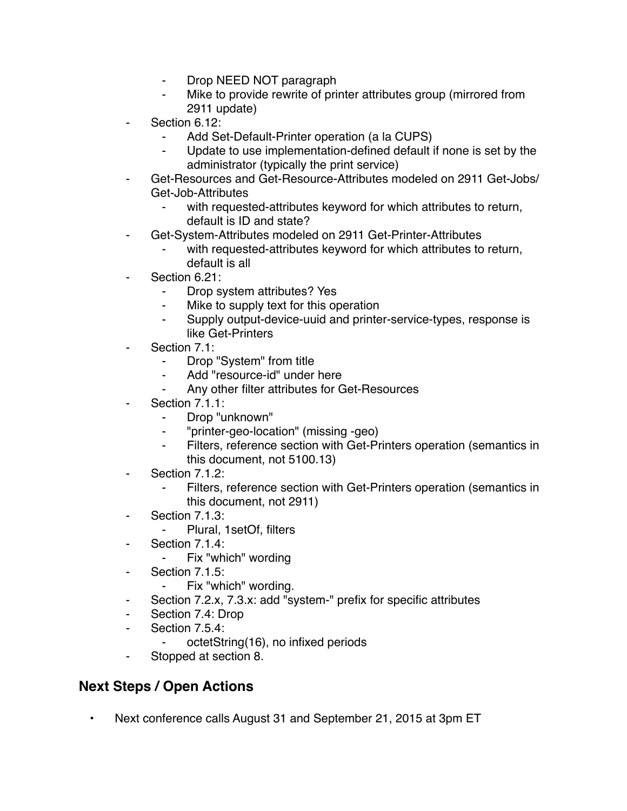- ⁃ Drop NEED NOT paragraph
- Mike to provide rewrite of printer attributes group (mirrored from 2911 update)
- Section 6.12:
	- Add Set-Default-Printer operation (a la CUPS)
	- Update to use implementation-defined default if none is set by the administrator (typically the print service)
- Get-Resources and Get-Resource-Attributes modeled on 2911 Get-Jobs/ Get-Job-Attributes
	- with requested-attributes keyword for which attributes to return, default is ID and state?
	- ⁃ Get-System-Attributes modeled on 2911 Get-Printer-Attributes
		- with requested-attributes keyword for which attributes to return, default is all
- Section 6.21:
	- Drop system attributes? Yes
	- ⁃ Mike to supply text for this operation
	- ⁃ Supply output-device-uuid and printer-service-types, response is like Get-Printers
- Section 7.1:
	- Drop "System" from title
	- Add "resource-id" under here
	- Any other filter attributes for Get-Resources
- Section 7.1.1:
	- ⁃ Drop "unknown"
	- ⁃ "printer-geo-location" (missing -geo)
	- ⁃ Filters, reference section with Get-Printers operation (semantics in this document, not 5100.13)
- Section 7.1.2:
	- Filters, reference section with Get-Printers operation (semantics in this document, not 2911)
- ⁃ Section 7.1.3:
	- ⁃ Plural, 1setOf, filters
- Section 7.1.4:
	- ⁃ Fix "which" wording
- Section 7.1.5:
	- ⁃ Fix "which" wording.
- Section 7.2.x, 7.3.x: add "system-" prefix for specific attributes
- Section 7.4: Drop
- Section 7.5.4:
	- ⁃ octetString(16), no infixed periods
- ⁃ Stopped at section 8.

## **Next Steps / Open Actions**

• Next conference calls August 31 and September 21, 2015 at 3pm ET